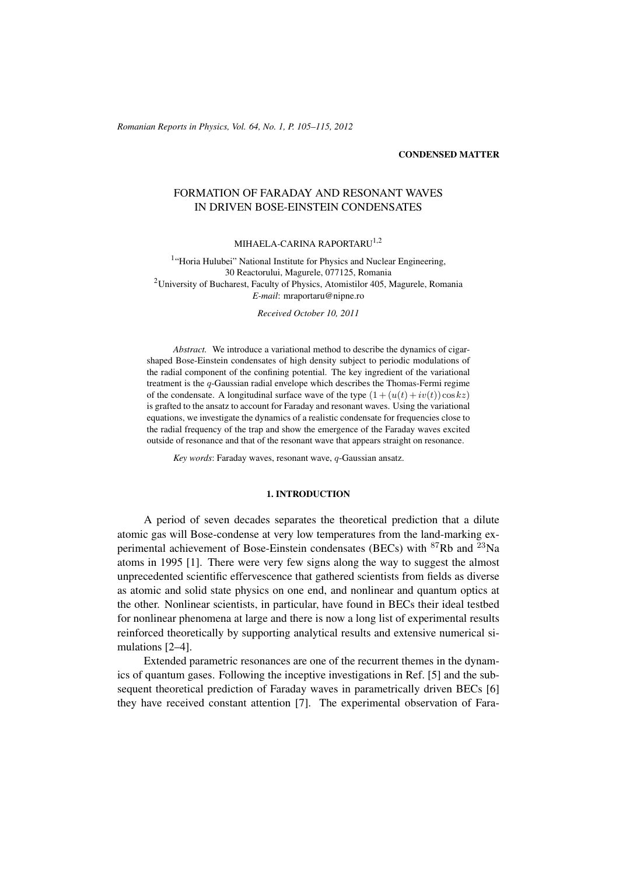(c) RRP 64(No. 1) 105–115 2012 *Romanian Reports in Physics, Vol. 64, No. 1, P. 105–115, 2012*

### CONDENSED MATTER

# FORMATION OF FARADAY AND RESONANT WAVES IN DRIVEN BOSE-EINSTEIN CONDENSATES

## MIHAELA-CARINA RAPORTARU<sup>1,2</sup>

<sup>1</sup>"Horia Hulubei" National Institute for Physics and Nuclear Engineering, 30 Reactorului, Magurele, 077125, Romania <sup>2</sup>University of Bucharest, Faculty of Physics, Atomistilor 405, Magurele, Romania *E-mail*: mraportaru@nipne.ro

*Received October 10, 2011*

*Abstract.* We introduce a variational method to describe the dynamics of cigarshaped Bose-Einstein condensates of high density subject to periodic modulations of the radial component of the confining potential. The key ingredient of the variational treatment is the q-Gaussian radial envelope which describes the Thomas-Fermi regime of the condensate. A longitudinal surface wave of the type  $(1 + (u(t) + iv(t)) \cos kz)$ is grafted to the ansatz to account for Faraday and resonant waves. Using the variational equations, we investigate the dynamics of a realistic condensate for frequencies close to the radial frequency of the trap and show the emergence of the Faraday waves excited outside of resonance and that of the resonant wave that appears straight on resonance.

*Key words*: Faraday waves, resonant wave, q-Gaussian ansatz.

### 1. INTRODUCTION

A period of seven decades separates the theoretical prediction that a dilute atomic gas will Bose-condense at very low temperatures from the land-marking experimental achievement of Bose-Einstein condensates (BECs) with  $87Rb$  and  $23Na$ atoms in 1995 [1]. There were very few signs along the way to suggest the almost unprecedented scientific effervescence that gathered scientists from fields as diverse as atomic and solid state physics on one end, and nonlinear and quantum optics at the other. Nonlinear scientists, in particular, have found in BECs their ideal testbed for nonlinear phenomena at large and there is now a long list of experimental results reinforced theoretically by supporting analytical results and extensive numerical simulations [2–4].

Extended parametric resonances are one of the recurrent themes in the dynamics of quantum gases. Following the inceptive investigations in Ref. [5] and the subsequent theoretical prediction of Faraday waves in parametrically driven BECs [6] they have received constant attention [7]. The experimental observation of Fara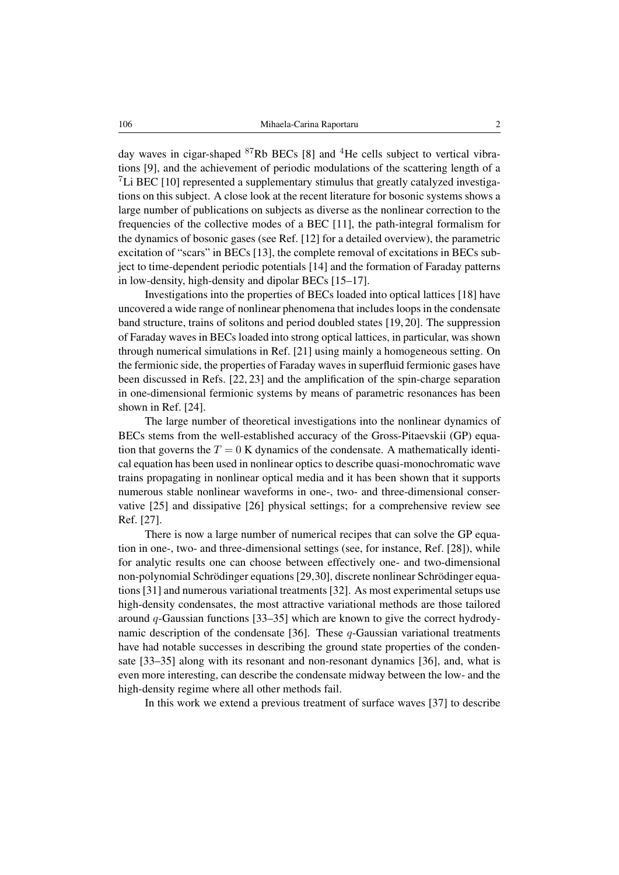day waves in cigar-shaped  $87Rb$  BECs [8] and  $4He$  cells subject to vertical vibrations [9], and the achievement of periodic modulations of the scattering length of a <sup>7</sup>Li BEC [10] represented a supplementary stimulus that greatly catalyzed investigations on this subject. A close look at the recent literature for bosonic systems shows a large number of publications on subjects as diverse as the nonlinear correction to the frequencies of the collective modes of a BEC [11], the path-integral formalism for the dynamics of bosonic gases (see Ref. [12] for a detailed overview), the parametric excitation of "scars" in BECs [13], the complete removal of excitations in BECs subject to time-dependent periodic potentials [14] and the formation of Faraday patterns in low-density, high-density and dipolar BECs [15–17].

Investigations into the properties of BECs loaded into optical lattices [18] have uncovered a wide range of nonlinear phenomena that includes loops in the condensate band structure, trains of solitons and period doubled states [19, 20]. The suppression of Faraday waves in BECs loaded into strong optical lattices, in particular, was shown through numerical simulations in Ref. [21] using mainly a homogeneous setting. On the fermionic side, the properties of Faraday waves in superfluid fermionic gases have been discussed in Refs. [22, 23] and the amplification of the spin-charge separation in one-dimensional fermionic systems by means of parametric resonances has been shown in Ref. [24].

The large number of theoretical investigations into the nonlinear dynamics of BECs stems from the well-established accuracy of the Gross-Pitaevskii (GP) equation that governs the  $T = 0$  K dynamics of the condensate. A mathematically identical equation has been used in nonlinear optics to describe quasi-monochromatic wave trains propagating in nonlinear optical media and it has been shown that it supports numerous stable nonlinear waveforms in one-, two- and three-dimensional conservative [25] and dissipative [26] physical settings; for a comprehensive review see Ref. [27].

There is now a large number of numerical recipes that can solve the GP equation in one-, two- and three-dimensional settings (see, for instance, Ref. [28]), while for analytic results one can choose between effectively one- and two-dimensional non-polynomial Schrödinger equations [29,30], discrete nonlinear Schrödinger equations [31] and numerous variational treatments [32]. As most experimental setups use high-density condensates, the most attractive variational methods are those tailored around q-Gaussian functions [33–35] which are known to give the correct hydrodynamic description of the condensate [36]. These  $q$ -Gaussian variational treatments have had notable successes in describing the ground state properties of the condensate [33–35] along with its resonant and non-resonant dynamics [36], and, what is even more interesting, can describe the condensate midway between the low- and the high-density regime where all other methods fail.

In this work we extend a previous treatment of surface waves [37] to describe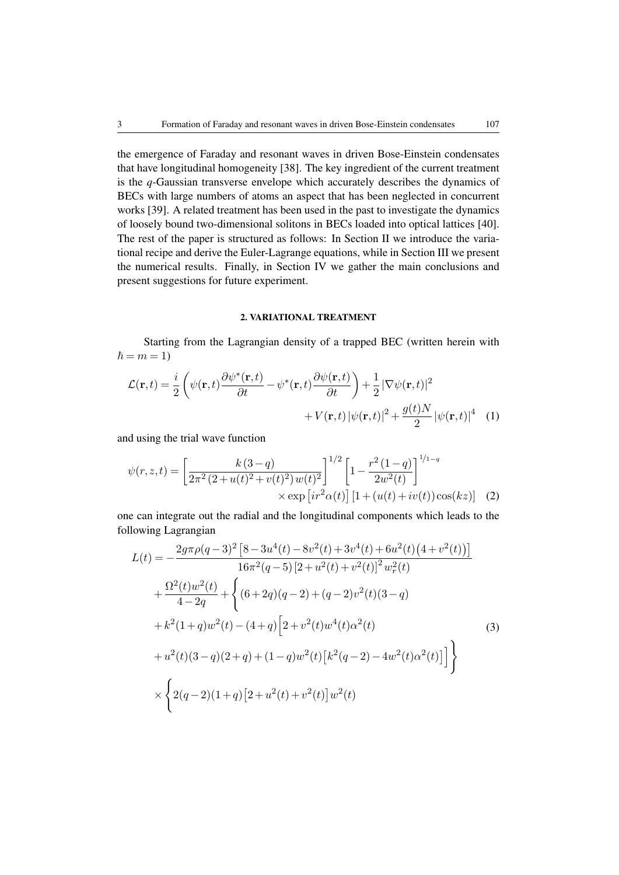the emergence of Faraday and resonant waves in driven Bose-Einstein condensates that have longitudinal homogeneity [38]. The key ingredient of the current treatment is the *q*-Gaussian transverse envelope which accurately describes the dynamics of BECs with large numbers of atoms an aspect that has been neglected in concurrent works [39]. A related treatment has been used in the past to investigate the dynamics of loosely bound two-dimensional solitons in BECs loaded into optical lattices [40]. The rest of the paper is structured as follows: In Section II we introduce the variational recipe and derive the Euler-Lagrange equations, while in Section III we present the numerical results. Finally, in Section IV we gather the main conclusions and present suggestions for future experiment.

#### 2. VARIATIONAL TREATMENT

Starting from the Lagrangian density of a trapped BEC (written herein with  $\hbar = m = 1$ 

$$
\mathcal{L}(\mathbf{r},t) = \frac{i}{2} \left( \psi(\mathbf{r},t) \frac{\partial \psi^*(\mathbf{r},t)}{\partial t} - \psi^*(\mathbf{r},t) \frac{\partial \psi(\mathbf{r},t)}{\partial t} \right) + \frac{1}{2} |\nabla \psi(\mathbf{r},t)|^2 + V(\mathbf{r},t) |\psi(\mathbf{r},t)|^2 + \frac{g(t)N}{2} |\psi(\mathbf{r},t)|^4 \quad (1)
$$

and using the trial wave function

$$
\psi(r,z,t) = \left[\frac{k(3-q)}{2\pi^2(2+u(t)^2+v(t)^2)w(t)^2}\right]^{1/2} \left[1-\frac{r^2(1-q)}{2w^2(t)}\right]^{1/1-q}
$$
  
× exp [ir<sup>2</sup>α(t)] [1+ (u(t)+iv(t))cos(kz)] (2)

one can integrate out the radial and the longitudinal components which leads to the following Lagrangian

$$
L(t) = -\frac{2g\pi\rho(q-3)^2 \left[8 - 3u^4(t) - 8v^2(t) + 3v^4(t) + 6u^2(t)\left(4 + v^2(t)\right)\right]}{16\pi^2(q-5)\left[2 + u^2(t) + v^2(t)\right]^2 w_r^2(t)}
$$
  
+ 
$$
\frac{\Omega^2(t)w^2(t)}{4 - 2q} + \left\{(6 + 2q)(q-2) + (q-2)v^2(t)(3 - q) + k^2(1 + q)w^2(t) - (4 + q)\left[2 + v^2(t)w^4(t)\alpha^2(t)\right] + u^2(t)(3 - q)(2 + q) + (1 - q)w^2(t)\left[k^2(q-2) - 4w^2(t)\alpha^2(t)\right]\right\}
$$
  
+ 
$$
\times \left\{2(q-2)(1+q)\left[2 + u^2(t) + v^2(t)\right]w^2(t)\right\}
$$
 (3)  
(3)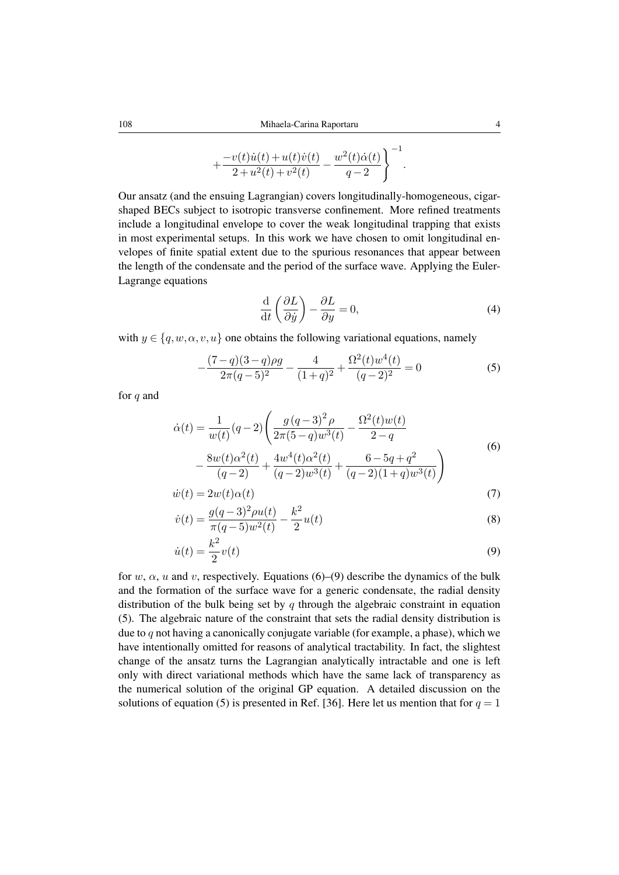$$
+\frac{-v(t)\dot{u}(t)+u(t)\dot{v}(t)}{2+u^2(t)+v^2(t)}-\frac{w^2(t)\dot{\alpha}(t)}{q-2}\Bigg\}^{-1}.
$$

Our ansatz (and the ensuing Lagrangian) covers longitudinally-homogeneous, cigarshaped BECs subject to isotropic transverse confinement. More refined treatments include a longitudinal envelope to cover the weak longitudinal trapping that exists in most experimental setups. In this work we have chosen to omit longitudinal envelopes of finite spatial extent due to the spurious resonances that appear between the length of the condensate and the period of the surface wave. Applying the Euler-Lagrange equations

$$
\frac{\mathrm{d}}{\mathrm{d}t} \left( \frac{\partial L}{\partial \dot{y}} \right) - \frac{\partial L}{\partial y} = 0,\tag{4}
$$

with  $y \in \{q, w, \alpha, v, u\}$  one obtains the following variational equations, namely

$$
-\frac{(7-q)(3-q)\rho g}{2\pi(q-5)^2} - \frac{4}{(1+q)^2} + \frac{\Omega^2(t)w^4(t)}{(q-2)^2} = 0
$$
\n(5)

for q and

$$
\dot{\alpha}(t) = \frac{1}{w(t)}(q-2)\left(\frac{g(q-3)^2 \rho}{2\pi(5-q)w^3(t)} - \frac{\Omega^2(t)w(t)}{2-q} - \frac{8w(t)\alpha^2(t)}{(q-2)} + \frac{4w^4(t)\alpha^2(t)}{(q-2)w^3(t)} + \frac{6-5q+q^2}{(q-2)(1+q)w^3(t)}\right)
$$
\n(6)

$$
\dot{w}(t) = 2w(t)\alpha(t) \tag{7}
$$

$$
\dot{v}(t) = \frac{g(q-3)^2 \rho u(t)}{\pi (q-5)w^2(t)} - \frac{k^2}{2}u(t)
$$
\n(8)

$$
\dot{u}(t) = \frac{k^2}{2}v(t) \tag{9}
$$

for w,  $\alpha$ , u and v, respectively. Equations (6)–(9) describe the dynamics of the bulk and the formation of the surface wave for a generic condensate, the radial density distribution of the bulk being set by  $q$  through the algebraic constraint in equation (5). The algebraic nature of the constraint that sets the radial density distribution is due to q not having a canonically conjugate variable (for example, a phase), which we have intentionally omitted for reasons of analytical tractability. In fact, the slightest change of the ansatz turns the Lagrangian analytically intractable and one is left only with direct variational methods which have the same lack of transparency as the numerical solution of the original GP equation. A detailed discussion on the solutions of equation (5) is presented in Ref. [36]. Here let us mention that for  $q = 1$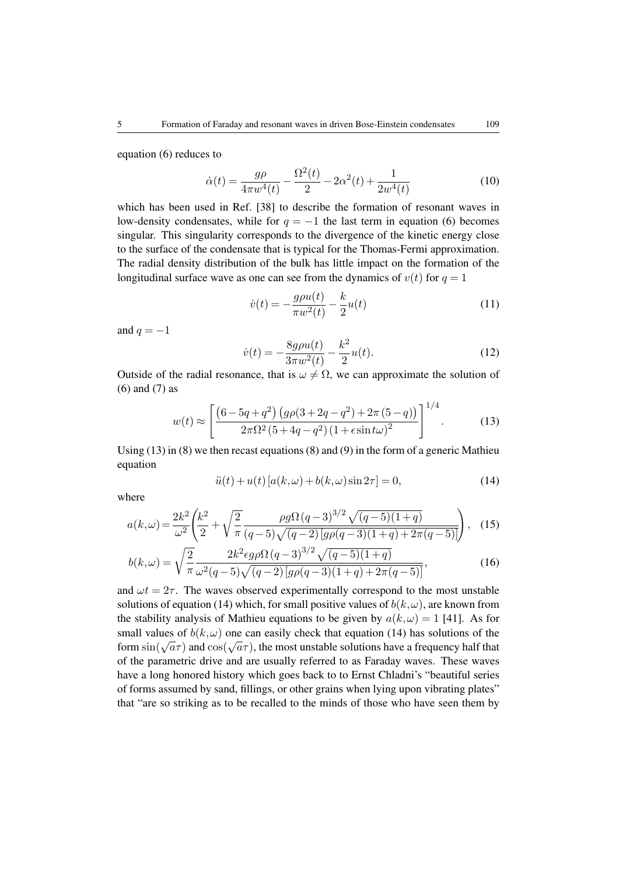equation (6) reduces to

$$
\dot{\alpha}(t) = \frac{g\rho}{4\pi w^4(t)} - \frac{\Omega^2(t)}{2} - 2\alpha^2(t) + \frac{1}{2w^4(t)}\tag{10}
$$

which has been used in Ref. [38] to describe the formation of resonant waves in low-density condensates, while for  $q = -1$  the last term in equation (6) becomes singular. This singularity corresponds to the divergence of the kinetic energy close to the surface of the condensate that is typical for the Thomas-Fermi approximation. The radial density distribution of the bulk has little impact on the formation of the longitudinal surface wave as one can see from the dynamics of  $v(t)$  for  $q = 1$ 

$$
\dot{v}(t) = -\frac{g\rho u(t)}{\pi w^2(t)} - \frac{k}{2}u(t)
$$
\n(11)

and  $q = -1$ 

$$
\dot{v}(t) = -\frac{8g\rho u(t)}{3\pi w^2(t)} - \frac{k^2}{2}u(t). \tag{12}
$$

Outside of the radial resonance, that is  $\omega \neq \Omega$ , we can approximate the solution of (6) and (7) as

$$
w(t) \approx \left[ \frac{\left(6 - 5q + q^2\right) \left(g \rho (3 + 2q - q^2) + 2\pi (5 - q)\right)}{2\pi \Omega^2 \left(5 + 4q - q^2\right) \left(1 + \epsilon \sin t \omega\right)^2} \right]^{1/4}.
$$
 (13)

Using (13) in (8) we then recast equations (8) and (9) in the form of a generic Mathieu equation

$$
\ddot{u}(t) + u(t) \left[ a(k,\omega) + b(k,\omega) \sin 2\tau \right] = 0,\t(14)
$$

where

$$
a(k,\omega) = \frac{2k^2}{\omega^2} \left( \frac{k^2}{2} + \sqrt{\frac{2}{\pi}} \frac{\rho g \Omega (q-3)^{3/2} \sqrt{(q-5)(1+q)}}{(q-5)\sqrt{(q-2)\left[g\rho(q-3)(1+q)+2\pi(q-5)\right]}} \right), \quad (15)
$$

$$
b(k,\omega) = \sqrt{\frac{2}{\pi}} \frac{2k^2 \epsilon g \rho \Omega (q-3)^{3/2} \sqrt{(q-5)(1+q)}}{\omega^2 (q-5) \sqrt{(q-2) \left[ g \rho (q-3)(1+q) + 2\pi (q-5) \right]}} ,\tag{16}
$$

and  $\omega t = 2\tau$ . The waves observed experimentally correspond to the most unstable solutions of equation (14) which, for small positive values of  $b(k,\omega)$ , are known from the stability analysis of Mathieu equations to be given by  $a(k,\omega) = 1$  [41]. As for small values of  $b(k, \omega)$  one can easily check that equation (14) has solutions of the form sin( $\sqrt{a\tau}$ ) and cos( $\sqrt{a\tau}$ ), the most unstable solutions have a frequency half that of the parametric drive and are usually referred to as Faraday waves. These waves have a long honored history which goes back to to Ernst Chladni's "beautiful series of forms assumed by sand, fillings, or other grains when lying upon vibrating plates" that "are so striking as to be recalled to the minds of those who have seen them by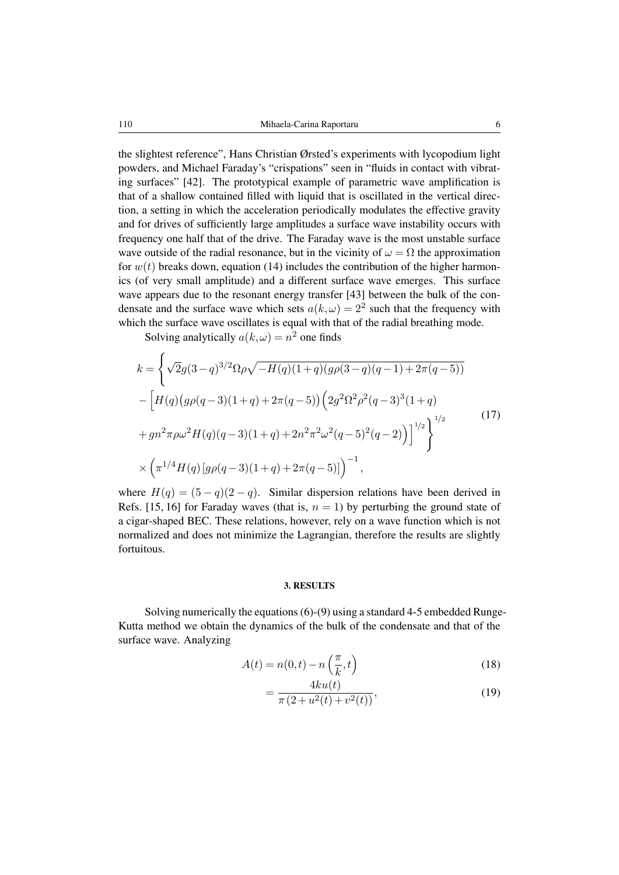the slightest reference", Hans Christian Ørsted's experiments with lycopodium light powders, and Michael Faraday's "crispations" seen in "fluids in contact with vibrating surfaces" [42]. The prototypical example of parametric wave amplification is that of a shallow contained filled with liquid that is oscillated in the vertical direction, a setting in which the acceleration periodically modulates the effective gravity and for drives of sufficiently large amplitudes a surface wave instability occurs with frequency one half that of the drive. The Faraday wave is the most unstable surface wave outside of the radial resonance, but in the vicinity of  $\omega = \Omega$  the approximation for  $w(t)$  breaks down, equation (14) includes the contribution of the higher harmonics (of very small amplitude) and a different surface wave emerges. This surface wave appears due to the resonant energy transfer [43] between the bulk of the condensate and the surface wave which sets  $a(k,\omega) = 2^2$  such that the frequency with which the surface wave oscillates is equal with that of the radial breathing mode.

Solving analytically  $a(k,\omega) = n^2$  one finds

$$
k = \left\{ \sqrt{2}g(3-q)^{3/2}\Omega\rho\sqrt{-H(q)(1+q)(g\rho(3-q)(q-1)+2\pi(q-5))} - \left[H(q)(g\rho(q-3)(1+q)+2\pi(q-5))\left(2g^2\Omega^2\rho^2(q-3)^3(1+q)\right) + gn^2\pi\rho\omega^2H(q)(q-3)(1+q)+2n^2\pi^2\omega^2(q-5)^2(q-2)\right)\right]^{1/2} \right\}^{1/2}
$$
\n
$$
\times \left(\pi^{1/4}H(q)[g\rho(q-3)(1+q)+2\pi(q-5)]\right)^{-1},
$$
\n(17)

where  $H(q) = (5 - q)(2 - q)$ . Similar dispersion relations have been derived in Refs. [15, 16] for Faraday waves (that is,  $n = 1$ ) by perturbing the ground state of a cigar-shaped BEC. These relations, however, rely on a wave function which is not normalized and does not minimize the Lagrangian, therefore the results are slightly fortuitous.

#### 3. RESULTS

Solving numerically the equations (6)-(9) using a standard 4-5 embedded Runge-Kutta method we obtain the dynamics of the bulk of the condensate and that of the surface wave. Analyzing

$$
A(t) = n(0, t) - n\left(\frac{\pi}{k}, t\right)
$$
\n(18)

$$
=\frac{4ku(t)}{\pi(2+u^2(t)+v^2(t))},
$$
\n(19)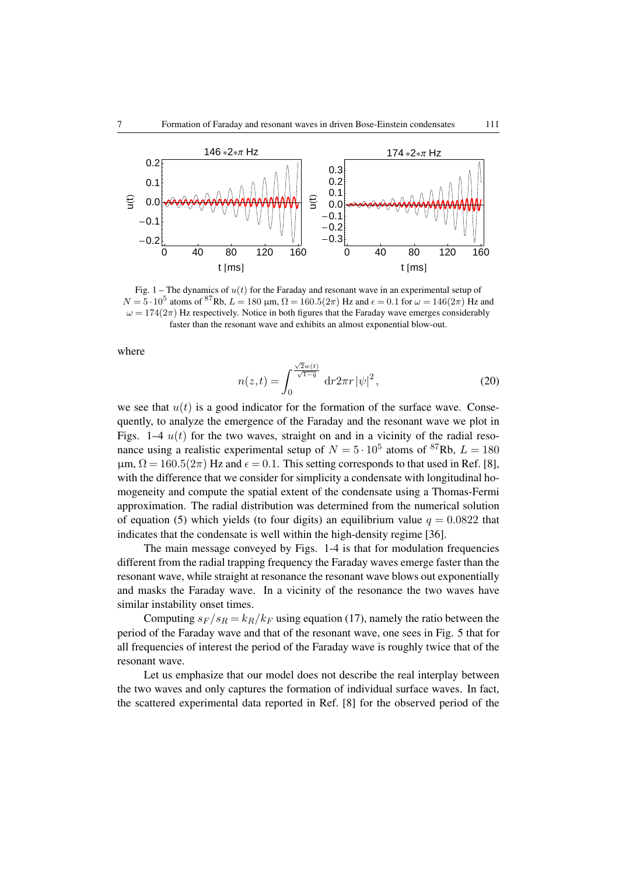

Fig. 1 – The dynamics of  $u(t)$  for the Faraday and resonant wave in an experimental setup of  $N = 5 \cdot 10^5$  atoms of <sup>87</sup>Rb,  $L = 180 \mu$ m,  $\Omega = 160.5(2\pi)$  Hz and  $\epsilon = 0.1$  for  $\omega = 146(2\pi)$  Hz and  $\omega = 174(2\pi)$  Hz respectively. Notice in both figures that the Faraday wave emerges considerably faster than the resonant wave and exhibits an almost exponential blow-out.

where

$$
n(z,t) = \int_0^{\frac{\sqrt{2}w(t)}{\sqrt{1-q}}} dr 2\pi r |\psi|^2,
$$
 (20)

we see that  $u(t)$  is a good indicator for the formation of the surface wave. Consequently, to analyze the emergence of the Faraday and the resonant wave we plot in Figs. 1–4  $u(t)$  for the two waves, straight on and in a vicinity of the radial resonance using a realistic experimental setup of  $N = 5 \cdot 10^5$  atoms of <sup>87</sup>Rb,  $L = 180$  $\mu$ m,  $\Omega = 160.5(2\pi)$  Hz and  $\epsilon = 0.1$ . This setting corresponds to that used in Ref. [8], with the difference that we consider for simplicity a condensate with longitudinal homogeneity and compute the spatial extent of the condensate using a Thomas-Fermi approximation. The radial distribution was determined from the numerical solution of equation (5) which yields (to four digits) an equilibrium value  $q = 0.0822$  that indicates that the condensate is well within the high-density regime [36].

The main message conveyed by Figs. 1-4 is that for modulation frequencies different from the radial trapping frequency the Faraday waves emerge faster than the resonant wave, while straight at resonance the resonant wave blows out exponentially and masks the Faraday wave. In a vicinity of the resonance the two waves have similar instability onset times.

Computing  $s_F / s_R = k_R / k_F$  using equation (17), namely the ratio between the period of the Faraday wave and that of the resonant wave, one sees in Fig. 5 that for all frequencies of interest the period of the Faraday wave is roughly twice that of the resonant wave.

Let us emphasize that our model does not describe the real interplay between the two waves and only captures the formation of individual surface waves. In fact, the scattered experimental data reported in Ref. [8] for the observed period of the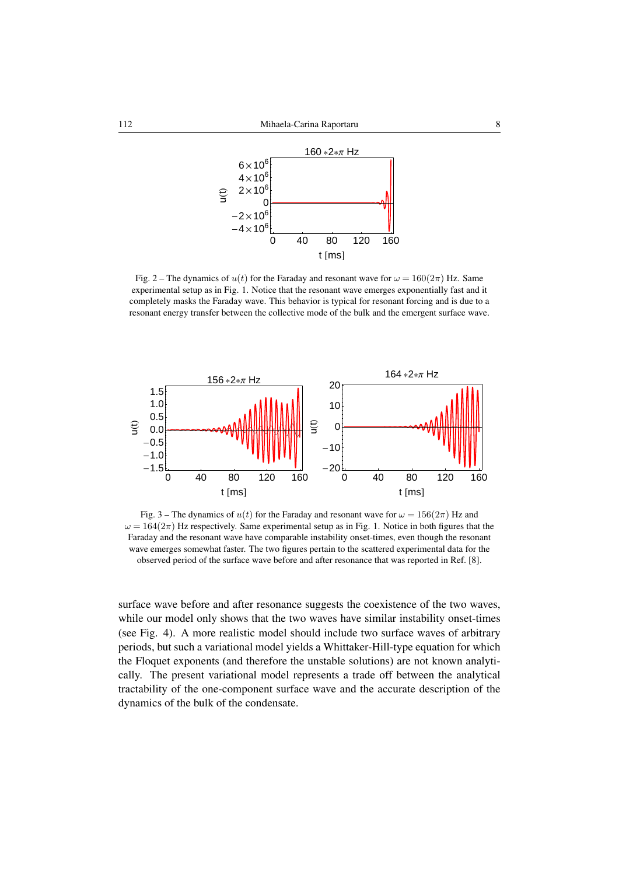

Fig. 2 – The dynamics of  $u(t)$  for the Faraday and resonant wave for  $\omega = 160(2\pi)$  Hz. Same experimental setup as in Fig. 1. Notice that the resonant wave emerges exponentially fast and it completely masks the Faraday wave. This behavior is typical for resonant forcing and is due to a resonant energy transfer between the collective mode of the bulk and the emergent surface wave.



Fig. 3 – The dynamics of  $u(t)$  for the Faraday and resonant wave for  $\omega = 156(2\pi)$  Hz and  $\omega = 164(2\pi)$  Hz respectively. Same experimental setup as in Fig. 1. Notice in both figures that the Faraday and the resonant wave have comparable instability onset-times, even though the resonant wave emerges somewhat faster. The two figures pertain to the scattered experimental data for the observed period of the surface wave before and after resonance that was reported in Ref. [8].

surface wave before and after resonance suggests the coexistence of the two waves, while our model only shows that the two waves have similar instability onset-times (see Fig. 4). A more realistic model should include two surface waves of arbitrary periods, but such a variational model yields a Whittaker-Hill-type equation for which the Floquet exponents (and therefore the unstable solutions) are not known analytically. The present variational model represents a trade off between the analytical tractability of the one-component surface wave and the accurate description of the dynamics of the bulk of the condensate.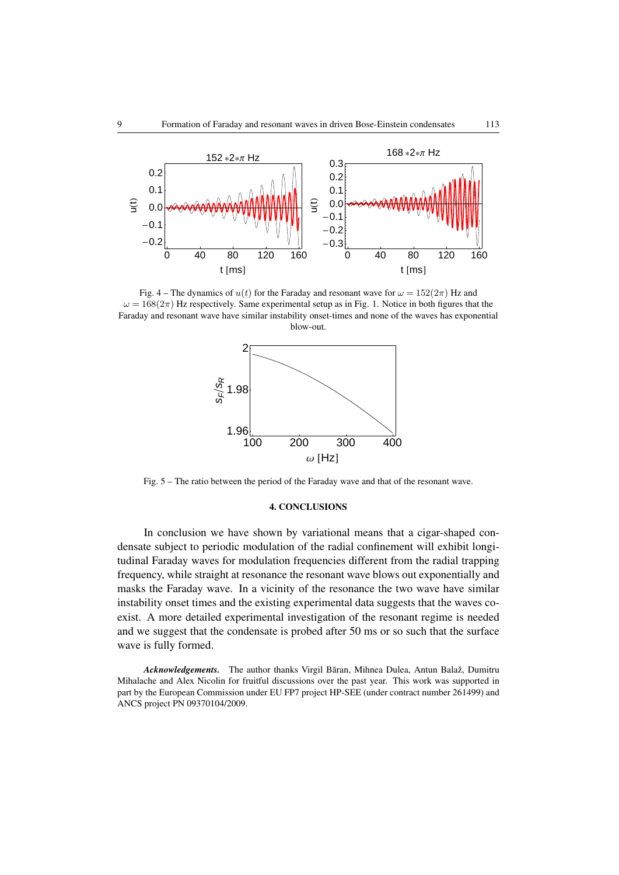

Fig. 4 – The dynamics of  $u(t)$  for the Faraday and resonant wave for  $\omega = 152(2\pi)$  Hz and  $\omega = 168(2\pi)$  Hz respectively. Same experimental setup as in Fig. 1. Notice in both figures that the Faraday and resonant wave have similar instability onset-times and none of the waves has exponential blow-out.



Fig. 5 – The ratio between the period of the Faraday wave and that of the resonant wave.

## 4. CONCLUSIONS

In conclusion we have shown by variational means that a cigar-shaped condensate subject to periodic modulation of the radial confinement will exhibit longitudinal Faraday waves for modulation frequencies different from the radial trapping frequency, while straight at resonance the resonant wave blows out exponentially and masks the Faraday wave. In a vicinity of the resonance the two wave have similar instability onset times and the existing experimental data suggests that the waves coexist. A more detailed experimental investigation of the resonant regime is needed and we suggest that the condensate is probed after 50 ms or so such that the surface wave is fully formed.

*Acknowledgements.* The author thanks Virgil Băran, Mihnea Dulea, Antun Balaž, Dumitru Mihalache and Alex Nicolin for fruitful discussions over the past year. This work was supported in part by the European Commission under EU FP7 project HP-SEE (under contract number 261499) and ANCS project PN 09370104/2009.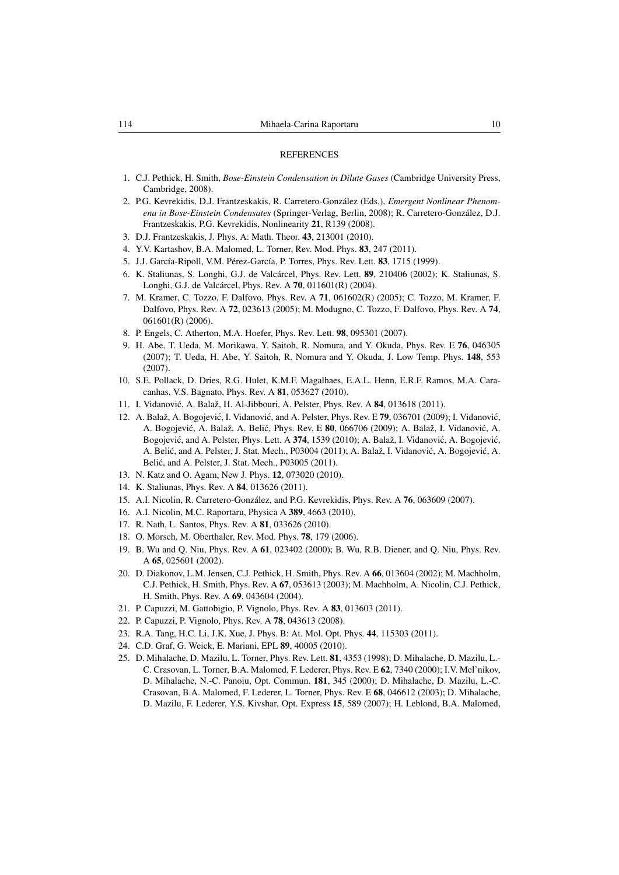#### **REFERENCES**

- 1. C.J. Pethick, H. Smith, *Bose-Einstein Condensation in Dilute Gases* (Cambridge University Press, Cambridge, 2008).
- 2. P.G. Kevrekidis, D.J. Frantzeskakis, R. Carretero-González (Eds.), *Emergent Nonlinear Phenomena in Bose-Einstein Condensates* (Springer-Verlag, Berlin, 2008); R. Carretero-González, D.J. Frantzeskakis, P.G. Kevrekidis, Nonlinearity 21, R139 (2008).
- 3. D.J. Frantzeskakis, J. Phys. A: Math. Theor. 43, 213001 (2010).
- 4. Y.V. Kartashov, B.A. Malomed, L. Torner, Rev. Mod. Phys. 83, 247 (2011).
- 5. J.J. García-Ripoll, V.M. Pérez-García, P. Torres, Phys. Rev. Lett. 83, 1715 (1999).
- 6. K. Staliunas, S. Longhi, G.J. de Valcárcel, Phys. Rev. Lett. 89, 210406 (2002); K. Staliunas, S. Longhi, G.J. de Valcárcel, Phys. Rev. A 70, 011601(R) (2004).
- 7. M. Kramer, C. Tozzo, F. Dalfovo, Phys. Rev. A 71, 061602(R) (2005); C. Tozzo, M. Kramer, F. Dalfovo, Phys. Rev. A 72, 023613 (2005); M. Modugno, C. Tozzo, F. Dalfovo, Phys. Rev. A 74, 061601(R) (2006).
- 8. P. Engels, C. Atherton, M.A. Hoefer, Phys. Rev. Lett. 98, 095301 (2007).
- 9. H. Abe, T. Ueda, M. Morikawa, Y. Saitoh, R. Nomura, and Y. Okuda, Phys. Rev. E 76, 046305 (2007); T. Ueda, H. Abe, Y. Saitoh, R. Nomura and Y. Okuda, J. Low Temp. Phys. 148, 553 (2007).
- 10. S.E. Pollack, D. Dries, R.G. Hulet, K.M.F. Magalhaes, E.A.L. Henn, E.R.F. Ramos, M.A. Caracanhas, V.S. Bagnato, Phys. Rev. A 81, 053627 (2010).
- 11. I. Vidanović, A. Balaž, H. Al-Jibbouri, A. Pelster, Phys. Rev. A 84, 013618 (2011).
- 12. A. Balaž, A. Bogojević, I. Vidanović, and A. Pelster, Phys. Rev. E 79, 036701 (2009); I. Vidanović, A. Bogojević, A. Balaž, A. Belić, Phys. Rev. E 80, 066706 (2009); A. Balaž, I. Vidanović, A. Bogojević, and A. Pelster, Phys. Lett. A 374, 1539 (2010); A. Balaž, I. Vidanović, A. Bogojević, A. Belić, and A. Pelster, J. Stat. Mech., P03004 (2011); A. Balaž, I. Vidanović, A. Bogojević, A. Belić, and A. Pelster, J. Stat. Mech., P03005 (2011).
- 13. N. Katz and O. Agam, New J. Phys. 12, 073020 (2010).
- 14. K. Staliunas, Phys. Rev. A 84, 013626 (2011).
- 15. A.I. Nicolin, R. Carretero-González, and P.G. Kevrekidis, Phys. Rev. A 76, 063609 (2007).
- 16. A.I. Nicolin, M.C. Raportaru, Physica A 389, 4663 (2010).
- 17. R. Nath, L. Santos, Phys. Rev. A 81, 033626 (2010).
- 18. O. Morsch, M. Oberthaler, Rev. Mod. Phys. 78, 179 (2006).
- 19. B. Wu and Q. Niu, Phys. Rev. A 61, 023402 (2000); B. Wu, R.B. Diener, and Q. Niu, Phys. Rev. A 65, 025601 (2002).
- 20. D. Diakonov, L.M. Jensen, C.J. Pethick, H. Smith, Phys. Rev. A 66, 013604 (2002); M. Machholm, C.J. Pethick, H. Smith, Phys. Rev. A 67, 053613 (2003); M. Machholm, A. Nicolin, C.J. Pethick, H. Smith, Phys. Rev. A 69, 043604 (2004).
- 21. P. Capuzzi, M. Gattobigio, P. Vignolo, Phys. Rev. A 83, 013603 (2011).
- 22. P. Capuzzi, P. Vignolo, Phys. Rev. A 78, 043613 (2008).
- 23. R.A. Tang, H.C. Li, J.K. Xue, J. Phys. B: At. Mol. Opt. Phys. 44, 115303 (2011).
- 24. C.D. Graf, G. Weick, E. Mariani, EPL 89, 40005 (2010).
- 25. D. Mihalache, D. Mazilu, L. Torner, Phys. Rev. Lett. 81, 4353 (1998); D. Mihalache, D. Mazilu, L.- C. Crasovan, L. Torner, B.A. Malomed, F. Lederer, Phys. Rev. E 62, 7340 (2000); I.V. Mel'nikov, D. Mihalache, N.-C. Panoiu, Opt. Commun. 181, 345 (2000); D. Mihalache, D. Mazilu, L.-C. Crasovan, B.A. Malomed, F. Lederer, L. Torner, Phys. Rev. E 68, 046612 (2003); D. Mihalache, D. Mazilu, F. Lederer, Y.S. Kivshar, Opt. Express 15, 589 (2007); H. Leblond, B.A. Malomed,